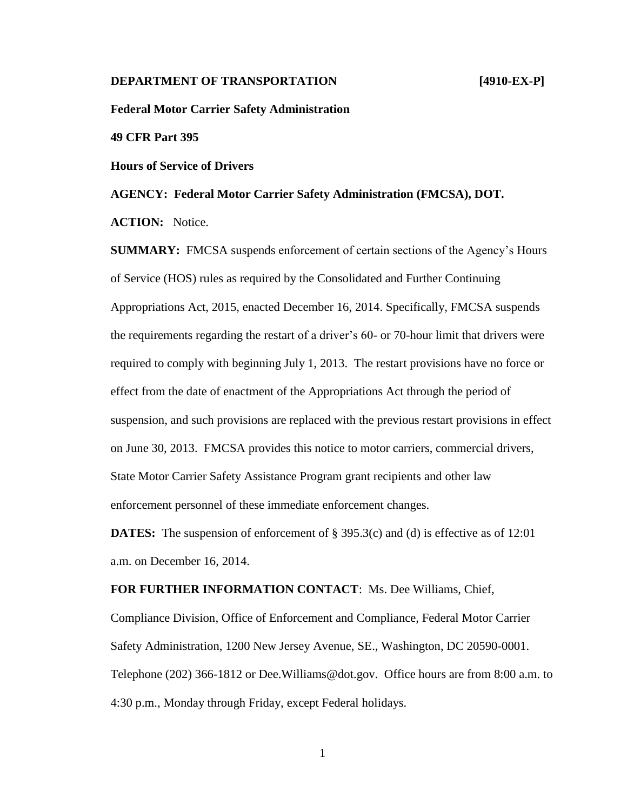## **DEPARTMENT OF TRANSPORTATION** [4910-EX-P]

**Federal Motor Carrier Safety Administration**

**49 CFR Part 395**

**Hours of Service of Drivers**

**AGENCY: Federal Motor Carrier Safety Administration (FMCSA), DOT.**

**ACTION:** Notice.

**SUMMARY:** FMCSA suspends enforcement of certain sections of the Agency's Hours of Service (HOS) rules as required by the Consolidated and Further Continuing Appropriations Act, 2015, enacted December 16, 2014. Specifically, FMCSA suspends the requirements regarding the restart of a driver's 60- or 70-hour limit that drivers were required to comply with beginning July 1, 2013. The restart provisions have no force or effect from the date of enactment of the Appropriations Act through the period of suspension, and such provisions are replaced with the previous restart provisions in effect on June 30, 2013. FMCSA provides this notice to motor carriers, commercial drivers, State Motor Carrier Safety Assistance Program grant recipients and other law enforcement personnel of these immediate enforcement changes.

**DATES:** The suspension of enforcement of § 395.3(c) and (d) is effective as of 12:01 a.m. on December 16, 2014.

**FOR FURTHER INFORMATION CONTACT**: Ms. Dee Williams, Chief,

Compliance Division, Office of Enforcement and Compliance, Federal Motor Carrier Safety Administration, 1200 New Jersey Avenue, SE., Washington, DC 20590-0001. Telephone (202) 366-1812 or Dee.Williams@dot.gov. Office hours are from 8:00 a.m. to 4:30 p.m., Monday through Friday, except Federal holidays.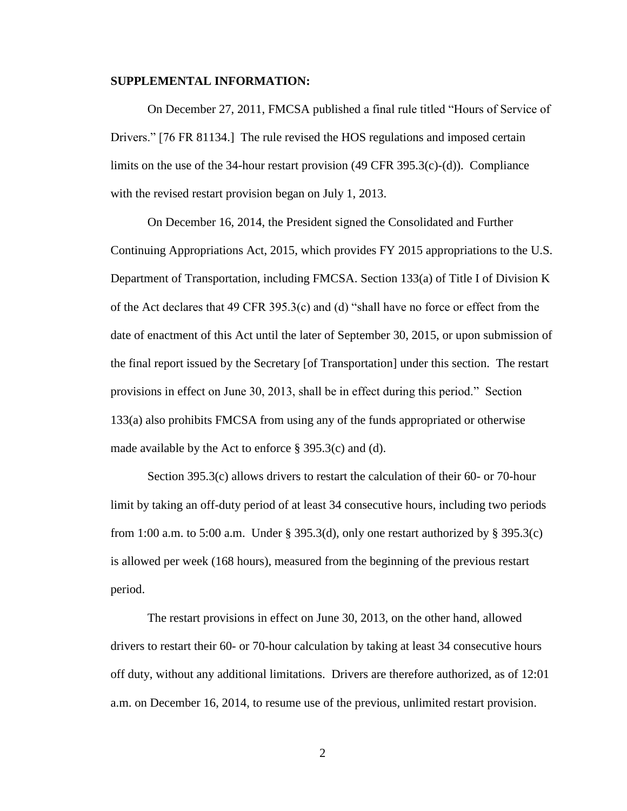## **SUPPLEMENTAL INFORMATION:**

On December 27, 2011, FMCSA published a final rule titled "Hours of Service of Drivers." [76 FR 81134.] The rule revised the HOS regulations and imposed certain limits on the use of the 34-hour restart provision  $(49 \text{ CFR } 395.3(c)-(d))$ . Compliance with the revised restart provision began on July 1, 2013.

On December 16, 2014, the President signed the Consolidated and Further Continuing Appropriations Act, 2015, which provides FY 2015 appropriations to the U.S. Department of Transportation, including FMCSA. Section 133(a) of Title I of Division K of the Act declares that 49 CFR 395.3(c) and (d) "shall have no force or effect from the date of enactment of this Act until the later of September 30, 2015, or upon submission of the final report issued by the Secretary [of Transportation] under this section. The restart provisions in effect on June 30, 2013, shall be in effect during this period." Section 133(a) also prohibits FMCSA from using any of the funds appropriated or otherwise made available by the Act to enforce § 395.3(c) and (d).

Section 395.3(c) allows drivers to restart the calculation of their 60- or 70-hour limit by taking an off-duty period of at least 34 consecutive hours, including two periods from 1:00 a.m. to 5:00 a.m. Under § 395.3(d), only one restart authorized by § 395.3(c) is allowed per week (168 hours), measured from the beginning of the previous restart period.

The restart provisions in effect on June 30, 2013, on the other hand, allowed drivers to restart their 60- or 70-hour calculation by taking at least 34 consecutive hours off duty, without any additional limitations. Drivers are therefore authorized, as of 12:01 a.m. on December 16, 2014, to resume use of the previous, unlimited restart provision.

2